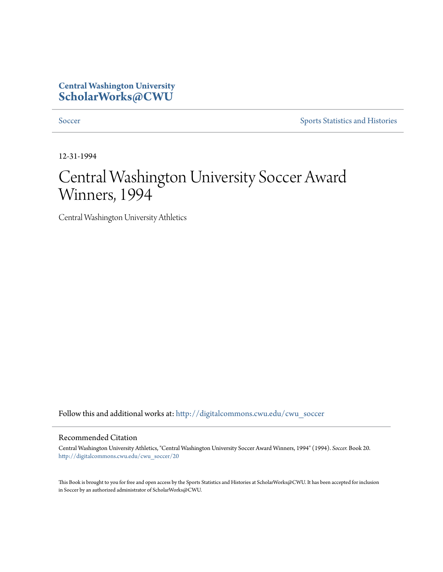## **Central Washington University [ScholarWorks@CWU](http://digitalcommons.cwu.edu?utm_source=digitalcommons.cwu.edu%2Fcwu_soccer%2F20&utm_medium=PDF&utm_campaign=PDFCoverPages)**

[Soccer](http://digitalcommons.cwu.edu/cwu_soccer?utm_source=digitalcommons.cwu.edu%2Fcwu_soccer%2F20&utm_medium=PDF&utm_campaign=PDFCoverPages) [Sports Statistics and Histories](http://digitalcommons.cwu.edu/cwu_sports_statistics?utm_source=digitalcommons.cwu.edu%2Fcwu_soccer%2F20&utm_medium=PDF&utm_campaign=PDFCoverPages)

12-31-1994

# Central Washington University Soccer Award Winners, 1994

Central Washington University Athletics

Follow this and additional works at: [http://digitalcommons.cwu.edu/cwu\\_soccer](http://digitalcommons.cwu.edu/cwu_soccer?utm_source=digitalcommons.cwu.edu%2Fcwu_soccer%2F20&utm_medium=PDF&utm_campaign=PDFCoverPages)

#### Recommended Citation

Central Washington University Athletics, "Central Washington University Soccer Award Winners, 1994" (1994). *Soccer.* Book 20. [http://digitalcommons.cwu.edu/cwu\\_soccer/20](http://digitalcommons.cwu.edu/cwu_soccer/20?utm_source=digitalcommons.cwu.edu%2Fcwu_soccer%2F20&utm_medium=PDF&utm_campaign=PDFCoverPages)

This Book is brought to you for free and open access by the Sports Statistics and Histories at ScholarWorks@CWU. It has been accepted for inclusion in Soccer by an authorized administrator of ScholarWorks@CWU.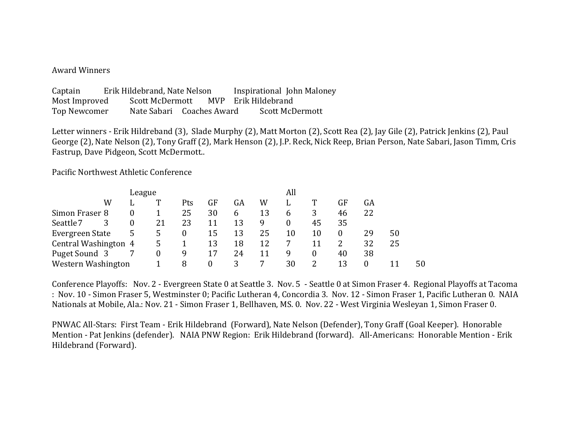#### Award Winners

| Captain       | Erik Hildebrand, Nate Nelson |  |  | Inspirational John Maloney |                 |
|---------------|------------------------------|--|--|----------------------------|-----------------|
| Most Improved | Scott McDermott              |  |  | MVP Erik Hildebrand        |                 |
| Top Newcomer  | Nate Sabari Coaches Award    |  |  |                            | Scott McDermott |

Letter winners - Erik Hildreband (3), Slade Murphy (2), Matt Morton (2), Scott Rea (2), Jay Gile (2), Patrick Jenkins (2), Paul George (2), Nate Nelson (2), Tony Graff (2), Mark Henson (2), J.P. Reck, Nick Reep, Brian Person, Nate Sabari, Jason Timm, Cris Fastrup, Dave Pidgeon, Scott McDermott...

Pacific Northwest Athletic Conference

|                      |   | League   |    |                  |    |    |    | All |    |    |    |    |    |  |
|----------------------|---|----------|----|------------------|----|----|----|-----|----|----|----|----|----|--|
|                      | W | L        |    | Pts              | GF | GA | W  | L   |    | GF | GA |    |    |  |
| Simon Fraser 8       |   |          |    | 25               | 30 | b  | 13 | b   |    | 46 | 22 |    |    |  |
| Seattle 7            |   | $\theta$ | 21 | 23               | 11 | 13 | 9  |     | 45 | 35 |    |    |    |  |
| Evergreen State      |   | 5        | 5  | $\boldsymbol{0}$ | 15 | 13 | 25 | 10  | 10 |    | 29 | 50 |    |  |
| Central Washington 4 |   |          | 5. |                  | 13 | 18 | 12 |     |    |    | 32 | 25 |    |  |
| Puget Sound 3        |   |          | 0  | 9                | 17 | 24 | 11 | q   | 0  | 40 | 38 |    |    |  |
| Western Washington   |   |          |    | 8                |    | 3  |    | 30  |    | 13 |    |    | 50 |  |

Conference Playoffs: Nov. 2 - Evergreen State 0 at Seattle 3. Nov. 5 - Seattle 0 at Simon Fraser 4. Regional Playoffs at Tacoma : Nov. 10 - Simon Fraser 5, Westminster 0; Pacific Lutheran 4, Concordia 3. Nov. 12 - Simon Fraser 1, Pacific Lutheran 0. NAIA Nationals at Mobile, Ala.: Nov. 21 - Simon Fraser 1, Bellhaven, MS. 0. Nov. 22 - West Virginia Wesleyan 1, Simon Fraser 0.

PNWAC All-Stars: First Team - Erik Hildebrand (Forward), Nate Nelson (Defender), Tony Graff (Goal Keeper). Honorable Mention - Pat Jenkins (defender). NAIA PNW Region: Erik Hildebrand (forward). All-Americans: Honorable Mention - Erik Hildebrand (Forward).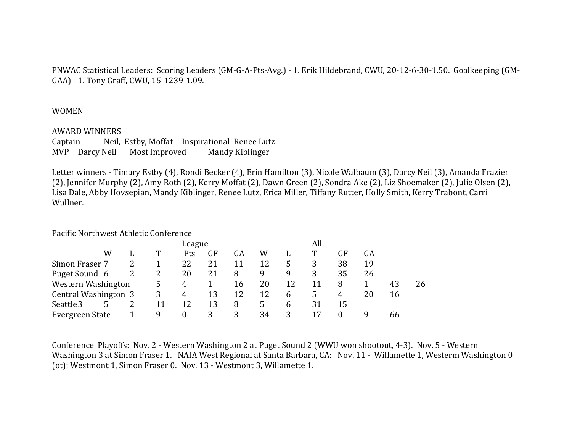PNWAC Statistical Leaders: Scoring Leaders (GM-G-A-Pts-Avg.) - 1. Erik Hildebrand, CWU, 20-12-6-30-1.50. Goalkeeping (GM-GAA) - 1. Tony Graff, CWU, 15-1239-1.09.

### WOMEN

#### **AWARD WINNERS**

Captain Neil, Estby, Moffat Inspirational Renee Lutz MVP Darcy Neil Most Improved Mandy Kiblinger

Letter winners - Timary Estby (4), Rondi Becker (4), Erin Hamilton (3), Nicole Walbaum (3), Darcy Neil (3), Amanda Frazier (2), Jennifer Murphy (2), Amy Roth (2), Kerry Moffat (2), Dawn Green (2), Sondra Ake (2), Liz Shoemaker (2), Julie Olsen (2), Lisa Dale, Abby Hovsepian, Mandy Kiblinger, Renee Lutz, Erica Miller, Tiffany Rutter, Holly Smith, Kerry Trabont, Carri Wullner.

### Pacific Northwest Athletic Conference

|                      |   | League |                |    |    |    |    | All |    |    |    |    |
|----------------------|---|--------|----------------|----|----|----|----|-----|----|----|----|----|
|                      | W |        | Pts            | GF | GA | W  |    | т   | GF | GA |    |    |
| Simon Fraser 7       |   |        | 22             | 21 | 11 | 12 |    | 3   | 38 | 19 |    |    |
| Puget Sound 6        |   |        | 20             | 21 | 8  | 9  | q  | 3   | 35 | 26 |    |    |
| Western Washington   |   | 5      | 4              |    | 16 | 20 | 12 | 11  | 8  |    | 43 | 26 |
| Central Washington 3 |   | 3      | 4              | 13 | 12 | 12 | 6  | 5   | 4  | 20 | 16 |    |
| Seattle 3            |   | 11     | 12             | 13 | 8  | 5  | 6  | 31  | 15 |    |    |    |
| Evergreen State      |   | 9      | $\overline{0}$ | 3  | 3  | 34 |    |     |    | g  | 66 |    |

Conference Playoffs: Nov. 2 - Western Washington 2 at Puget Sound 2 (WWU won shootout, 4-3). Nov. 5 - Western Washington 3 at Simon Fraser 1. NAIA West Regional at Santa Barbara, CA: Nov. 11 - Willamette 1, Westerm Washington 0 (ot); Westmont 1, Simon Fraser 0. Nov. 13 - Westmont 3, Willamette 1.